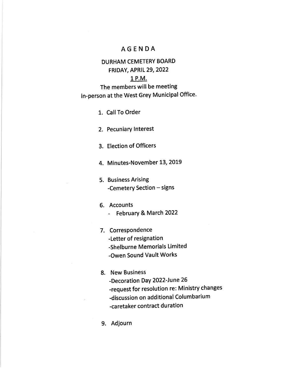## AGENDA

## DURHAM CEMETERY BOARD FRIDAY, APRIL 29,2022

## 1 P.M.

The members will be meeting in-person at the West Grey Municipal Office.

1. Call To Order

2. Pecuniary lnterest

3. Election of Officers

4. Minutes-November 13, 2019

5. Business Arising -Cemetery Section  $-$  signs

### 5. Accounts

- February & March 2022

7. Correspondence -Letter of resignation -Shelburne Memorials Limited

-Owen Sound Vault Works

## 8. New Business

-Decoration DaY 2022-June 26

-request for resolution re: Ministry changes

-discussion on additional Columbarium

-caretaker contract duration

9. Adjourn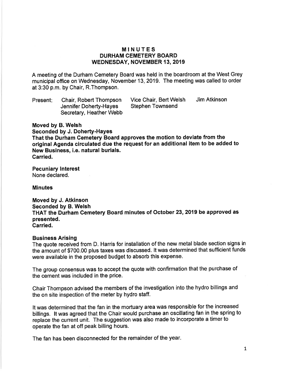### MINUTES DURHAM CEMETERY BOARD WEDNESDAY, NOVEMBER 13, 2019

A meeting of the Durham Cemetery Board was held in the boardroom at the West Grey municipal office on Wednesday, November 13,2019. The meeting was called to order at 3:30 p.m. by Chair, R.Thompson.

Present Chair, Robert Thompson Jennifer Doherty-Hayes Secretary, Heather Webb Vice Chair, Bert Welsh Stephen Townsend Jim Atkinson

Moved by B.Welsh

Seconded by J. Doherty-Hayes That the Durham Gemetery Board approves the motion to deviate from the original Agenda circulated due the request for an additional item to be added to New Business, i.e. natural burials. Carried.

Pecuniary lnterest None declared.

**Minutes** 

Moved by J. Atkinson Seconded by B.Welsh THAT the Durham Cemetery Board minutes of October 23,2019 be approved as presented. Carried.

### Business Arising

The quote received from D. Harris for installation of the new metal blade section signs in the amount of \$700.00 plus taxes was discussed. lt was determined that sufficient funds were available in the proposed budget to absorb this expense.

The group consensus was to accept the quote with confirmation that the purchase of the cement was included in the price.

Chair Thompson advised the members of the investigation into the hydro billings and the on site inspection of the meter by hydro staff.

It was determined that the fan in the mortuary area was responsible for the increased billings. lt was agreed that the Chair would purchase an oscillating fan in the spring to replace the current unit. The suggestion was also made to incorporate a timer to operate the fan at off peak billing hours.

The fan has been disconnected for the remainder of the year.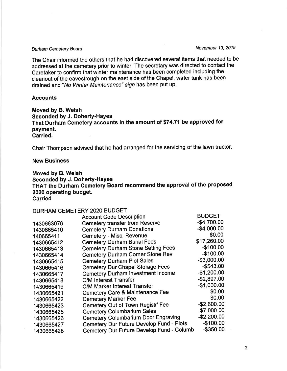## Durham Cemetery Board November 13, 2019

The Chair informed the others that he had discovered several items that needed to be addressed at the cemetery prior to winter. The secretary was directed to contact the Caretaker to confirm that winter maintenance has been completed including the cleanout of the eavestrough on the east side of the Chapel, water tank has been drained and "No Winter Maintenance" sign has been put up.

#### **Accounts**

Moved by B.Welsh Seconded by J. Doherty-HaYes That Durham Cemetery accounts in the amount of \$74.71 be approved for payment. Garried.

Chair Thompson advised that he had arranged for the servicing of the lawn tractor

#### New Business

Moved by B.Welsh Seconded by J. Doherty-Hayes THAT the Durham Gemetery Board recommend the approval of the proposed 2020 operating budget. **Carried** 

## DURHAM CEMETERY 2O2O BUDGET

|            | <b>Account Code Description</b>            | <b>BUDGET</b> |
|------------|--------------------------------------------|---------------|
| 1430663076 | <b>Cemetery transfer from Reserve</b>      | $-$4,700.00$  |
| 1430665410 | <b>Cemetery Durham Donations</b>           | $-$4,000.00$  |
| 140665411  | Cemetery - Misc. Revenue                   | \$0.00        |
| 1430665412 | <b>Cemetery Durham Burial Fees</b>         | \$17,260.00   |
| 1430665413 | <b>Cemetery Durham Stone Setting Fees</b>  | $-$100.00$    |
| 1430665414 | <b>Cemetery Durham Corner Stone Rev</b>    | $-$100.00$    |
| 1430665415 | <b>Cemetery Durham Plot Sales</b>          | $-$3,000.00$  |
| 1430665416 | <b>Cemetery Dur Chapel Storage Fees</b>    | $-$543.00$    |
| 1430665417 | <b>Cemetery Durham Investment Income</b>   | $-$1,200.00$  |
| 1430665418 | <b>C/M Interest Transfer</b>               | $-$2,897.00$  |
| 1430665419 | <b>C/M Marker Interest Transfer</b>        | $-$1,000.00$  |
| 1430665421 | <b>Cemetery Care &amp; Maintenance Fee</b> | \$0.00        |
| 1430665422 | <b>Cemetery Marker Fee</b>                 | \$0.00        |
| 1430665423 | Cemetery Out of Town Registr' Fee          | $-$2,600.00$  |
| 1430665425 | <b>Cemetery Columbarium Sales</b>          | $-$7,000.00$  |
| 1430665426 | <b>Cemetery Columbarium Door Engraving</b> | $-$2,200.00$  |
| 1430665427 | Cemetery Dur Future Develop Fund - Plots   | $-$100.00$    |
| 1430665428 | Cemetery Dur Future Develop Fund - Columb  | $-$ \$350.00  |
|            |                                            |               |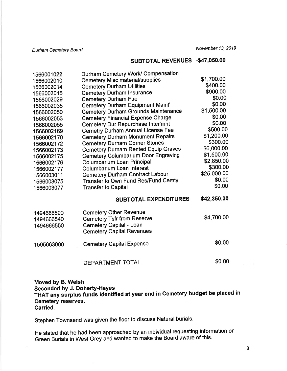Durham Cemetery Board

## SUBTOTAL REVENUES .\$47,050.00

| 1566001022 | Durham Cemetery Work/ Compensation         |             |
|------------|--------------------------------------------|-------------|
| 1566002010 | <b>Cemetery Misc material/supplies</b>     | \$1,700.00  |
| 1566002014 | <b>Cemetery Durham Utilities</b>           | \$400.00    |
| 1566002015 | <b>Cemetery Durham Insurance</b>           | \$900.00    |
| 1566002029 | <b>Cemetery Durham Fuel</b>                | \$0.00      |
| 1566002035 | <b>Cemetery Durham Equipment Maint'</b>    | \$0.00      |
| 1566002050 | <b>Cemetery Durham Grounds Maintenance</b> | \$1,500.00  |
| 1566002053 | <b>Cemetery Financial Expense Charge</b>   | \$0.00      |
| 1566002055 | Cemetery Dur Repurchase Inter'mnt          | \$0.00      |
| 1566002169 | <b>Cemetry Durham Annual License Fee</b>   | \$500.00    |
| 1566002170 | <b>Cemetery Durham Monument Repairs</b>    | \$1,200.00  |
| 1566002172 | <b>Cemetery Durham Corner Stones</b>       | \$300.00    |
| 1566002173 | <b>Cemetery Durham Rented Equip Graves</b> | \$6,000.00  |
| 1566002175 | <b>Cemetery Columbarium Door Engraving</b> | \$1,500.00  |
| 1566002176 | Columbarium Loan Principal                 | \$2,850.00  |
| 1566002177 | <b>Columbarium Loan Interest</b>           | \$300.00    |
| 1566003011 | <b>Cemetery Durham Contract Labour</b>     | \$25,000.00 |
| 1566003075 | Transfer to Own Fund Res/Fund Cemty        | \$0.00      |
| 1566003077 | <b>Transfer to Capital</b>                 | \$0.00      |
|            | <b>SUBTOTAL EXPENDITURES</b>               | \$42,350.00 |
| 1494666500 | <b>Cemetery Other Revenue</b>              |             |
| 1494666540 | <b>Cemetery Tsfr from Reserve</b>          | \$4,700.00  |
| 1494666550 | Cemetery Capital - Loan                    |             |
|            | <b>Cemetery Capital Revenues</b>           |             |
| 1595663000 | <b>Cemetery Capital Expense</b>            | \$0.00      |
|            | DEPARTMENT TOTAL                           | \$0.00      |

## Moved by B.Welsh Seconded by J. Doherty-Hayes THAT any surplus funds identified at year end in Cemetery budget be placed in Cemetery reserves. Carried.

Stephen Townsend was given the floor to discuss Natural burials.

He stated that he had been approached by an individual requesting information on Green Burials in West Grey and wanted to make the Board aware of this'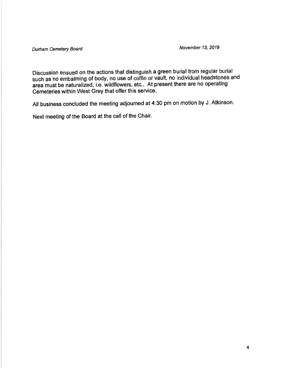Durham Cemetery Board November 13, 2019

Discussion ensued on the actions that distinguish a green burial from regular burial such as no embalming of body, no use of coffin or vault, no individual headstones and area must be naturalized, i.e. wildflowers, etc... At present there are no operating Cemeteries within West Grey that offer this service.

All business concluded the meeting adjourned at 4:30 pm on motion by J. Atkinson.

Next meeting of the Board at the call of the Chair.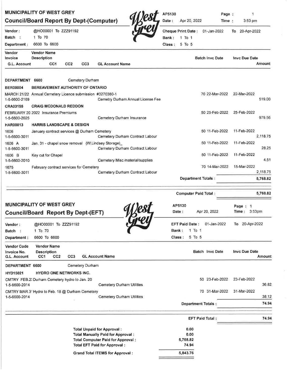|                                                   | <b>MUNICIPALITY OF WEST GREY</b><br><b>Council/Board Report By Dept-(Computer)</b> |                 |                 |                                                                                 |                                   | AP5130<br>Date:                              | Apr 20, 2022          |        | Page :<br>Time :            | 1<br>3:53 pm         |                                  |
|---------------------------------------------------|------------------------------------------------------------------------------------|-----------------|-----------------|---------------------------------------------------------------------------------|-----------------------------------|----------------------------------------------|-----------------------|--------|-----------------------------|----------------------|----------------------------------|
| <b>Vendor :</b><br>Batch :<br>Department :        | @HO00001 To ZZZ91192<br>1 To 70<br>6600 To 6600                                    |                 |                 |                                                                                 |                                   | <b>Cheque Print Date:</b><br>Bank:<br>Class: | $1$ To $1$<br>5 To 5  |        | 01-Jan-2022                 | To 20-Apr-2022       |                                  |
| Vendor                                            | <b>Vendor Name</b>                                                                 |                 |                 |                                                                                 |                                   |                                              |                       |        |                             |                      |                                  |
| Invoice<br>G.L. Account                           | <b>Description</b><br>CC <sub>1</sub>                                              | CC <sub>2</sub> | CC <sub>3</sub> | <b>GL Account Name</b>                                                          |                                   |                                              |                       |        | <b>Batch Invc Date</b>      | Invc Due Date        | Amount                           |
| DEPARTMENT 6600                                   |                                                                                    |                 | Cemetery Durham |                                                                                 |                                   |                                              |                       |        |                             |                      |                                  |
| <b>BER00004</b>                                   | BEREAVEMENT AUTHORITY OF ONTARIO                                                   |                 |                 |                                                                                 |                                   |                                              |                       |        |                             |                      |                                  |
| 1-5-6600-2169                                     | MARCH 21/22 Annual Cemetery Licence submission #3270380-1                          |                 |                 |                                                                                 | Cemetry Durham Annual License Fee |                                              |                       |        | 70 22-Mar-2022              | 22-Mar-2022          | 519.00                           |
| <b>CRA03155</b>                                   | <b>CRAIG MCDONALD REDDON</b>                                                       |                 |                 |                                                                                 |                                   |                                              |                       |        |                             |                      |                                  |
| 1-5-6600-2025                                     | FEBRUARY 20 2022 Insurance Premiums                                                |                 |                 | Cemetery Durham Insurance                                                       |                                   |                                              |                       |        | 50 25-Feb-2022              | 25-Feb-2022          | 979.56                           |
| HAR00013                                          | <b>HARRIS LANDSCAPE &amp; DESIGN</b>                                               |                 |                 |                                                                                 |                                   |                                              |                       |        |                             |                      |                                  |
| 1606<br>1-5-6600-3011                             | January contract services @ Durham Cemetery                                        |                 |                 |                                                                                 | Cemetery Durham Contract Labour   |                                              |                       |        | 50 11-Feb-2022              | 11-Feb-2022          | 2,118.75                         |
| 1606 A<br>1-5-6600-3011                           | Jan. 31 - chapel snow removal (W.Lindsey Storage)                                  |                 |                 |                                                                                 | Cemetery Durham Contract Labour   |                                              |                       |        | 50 11-Feb-2022              | 11-Feb-2022          | 28.25                            |
| 1606 B                                            | Key cut for Chapel                                                                 |                 |                 |                                                                                 |                                   |                                              |                       |        | 50 11-Feb-2022              | 11-Feb-2022          |                                  |
| 1-5-6600-2010<br>1675                             | February contract services for Cemetery                                            |                 |                 |                                                                                 | Cemetery Misc material/supplies   |                                              |                       |        | 70 14-Mar-2022              | 15-Mar-2022          | 4.51                             |
|                                                   |                                                                                    |                 |                 |                                                                                 | Cemetery Durham Contract Labour   |                                              |                       |        |                             |                      | 2,118.75                         |
| 1-5-6600-3011                                     |                                                                                    |                 |                 |                                                                                 |                                   |                                              |                       |        | <b>Department Totals:</b>   |                      | 5,768.82                         |
|                                                   |                                                                                    |                 |                 |                                                                                 |                                   |                                              |                       |        | <b>Computer Paid Total:</b> |                      |                                  |
|                                                   | <b>MUNICIPALITY OF WEST GREY</b><br><b>Council/Board Report By Dept-(EFT)</b>      |                 |                 |                                                                                 |                                   |                                              | AP5130<br>Date:       |        | Apr 20, 2022                | Page: 1<br>Time⊹     | 3:53 <sub>pm</sub>               |
| <b>Vendor:</b><br>Batch :                         | @HO00001 To ZZZ91192<br>1 To 70                                                    |                 |                 |                                                                                 |                                   | Bank:                                        | <b>EFT Paid Date:</b> | 1 To 1 | 01-Jan-2022                 | To 20-Apr-2022       |                                  |
| Department:                                       | 6600 To 6600                                                                       |                 |                 |                                                                                 |                                   |                                              | Class:                | 5 To 5 |                             |                      |                                  |
| <b>Vendor Code</b><br>Invoice No.<br>G.L. Account | <b>Vendor Name</b><br><b>Description</b><br>CC <sub>1</sub><br>CC <sub>2</sub>     | CC <sub>3</sub> |                 | <b>GL Account Name</b>                                                          |                                   |                                              |                       |        | <b>Batch Invc Date</b>      | <b>Invc Due Date</b> | 5,768.82<br>Amount               |
| DEPARTMENT 6600                                   |                                                                                    |                 | Cemetery Durham |                                                                                 |                                   |                                              |                       |        |                             |                      |                                  |
| <b>HYD15021</b>                                   | <b>HYDRO ONE NETWORKS INC.</b>                                                     |                 |                 |                                                                                 |                                   |                                              |                       |        |                             |                      |                                  |
| 1-5-6600-2014                                     | CMTRY FEB.2: Durham Cemetery hydro to Jan. 20                                      |                 |                 | Cemetery Durham Utilities                                                       |                                   |                                              |                       |        | 50 23-Feb-2022              | 23-Feb-2022          |                                  |
| 1-5-6600-2014                                     | CMTRY MAR.3' Hydro to Feb. 18 @ Durham Cemetery                                    |                 |                 | <b>Cemetery Durham Utilities</b>                                                |                                   |                                              |                       |        | 70 31-Mar-2022              | 31-Mar-2022          |                                  |
|                                                   |                                                                                    |                 |                 |                                                                                 |                                   |                                              |                       |        | <b>Department Totals:</b>   |                      |                                  |
|                                                   |                                                                                    |                 |                 |                                                                                 |                                   |                                              |                       |        | <b>EFT Paid Total:</b>      |                      |                                  |
|                                                   |                                                                                    |                 |                 | <b>Total Unpaid for Approval:</b>                                               |                                   |                                              | 0.00                  |        |                             |                      |                                  |
|                                                   |                                                                                    |                 |                 | Total Manually Paid for Approval :                                              |                                   |                                              | 0.00<br>5,768.82      |        |                             |                      | 36.82<br>38.12<br>74.94<br>74.94 |
|                                                   |                                                                                    |                 |                 | <b>Total Computer Paid for Approval:</b><br><b>Total EFT Paid for Approval:</b> |                                   |                                              | 74.94                 |        |                             |                      |                                  |
|                                                   |                                                                                    |                 |                 | <b>Grand Total ITEMS for Approval:</b>                                          |                                   |                                              | 5,843.76              |        |                             |                      |                                  |

×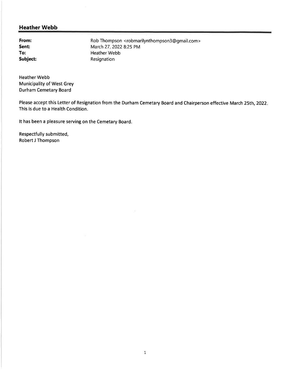## Heather Webb

From: Sent: To: Subject: Rob Thompson < robmarilynthompson3@gmail.com > March 27,2022 B:25 PM Heather Webb Resignation

Heather Webb Municipality of West Grey Durham Cemetary Board

Please accept this Letter of Resignation from the Durham Cemetary Board and Chairperson effective March 25th, 2022. This is due to a Health Condition.

It has been a pleasure serving on the Cemetary Board.

Respectfully submitted, Robert J Thompson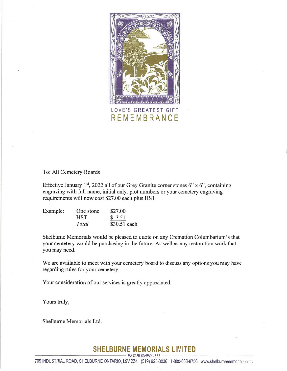

**REMEMBRANCE** 

#### To: All Cemetery Boards

Effective January 1<sup>st</sup>, 2022 all of our Grey Granite corner stones 6" x 6", containing engraving with full name, initial only, plot numbers or your cemetery engraving requirements will now cost \$27.00 each plus HST.

| Example: | One stone  | \$27.00      |
|----------|------------|--------------|
|          | <b>HST</b> | \$3.51       |
|          | Total      | \$30.51 each |

Shelburne Memorials would be pleased to quote on any Cremation Columbarium's that your cemetery would be purchasing in the future. As well as any restoration work that you may need.

We are available to meet with your cemetery board to discuss any options you may have regarding rules for your cemetery.

Your consideration of our services is greatly appreciated.

Yours truly,

Shelburne Memorials Ltd.

#### SHELBURNE MEMORIALS LIMITED ESTABLISHED 1888

T09INDUSTRIAL ROAD, SHELBURNE ONTARI0, LgV 224 (519)925-3036 1-800-668-8756 www.shelburnememorials.com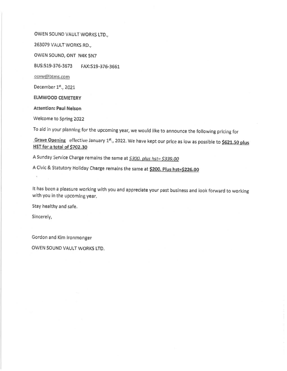OWEN SOUND VAULT WORKS LTD.,

263079 VAULT WORKS RD.,

OWEN SOUND, ONT N4K 5N7

BUS:519-376-3673 FAX:519-376-3661

osvw@btms.com

December 1st., 2021

ELMWOOD CEMETERY

**Attention: Paul Nelson** 

Welcome to Spring 2022

To aid in your planning for the upcoming year, we would like to announce the following pricing for

Grave Opening effective January 1<sup>st</sup>., 2022. We have kept our price as low as possible to  $$621.50$  plus H\$T for a total of \$702.30

A Sunday Service Charge remains the same at \$300. plus hst= \$339.00

A Civic & Statutory Holiday Charge remains the same at \$200. Plus hst=\$226.00

It has been a pleasure working with you and appreciate your past business and look forward to working with you in the upcoming year.

Stay heslthy and safe.

Sincerely,

Gordon and Klrn lronmonger OWEN SOUND VAULT WORKS LTD.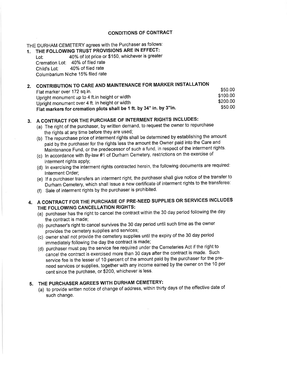#### CONDITIONS OF CONTRACT

THE DURHAM CEMETERY agrees with the Purchaser as follows:

# 1. THE FOLLOWING TRUST PROVISIONS ARE IN EFFECT:<br>Lot: 40% of lot price or \$150, whichever is greatel

40% of lot price or \$150, whichever is greater Cremation Lot: 40% of filed rate Child's Lot: 40% of filed rate Columbarium Niche 15% filed rate

## 2. CONTRIBUTION TO CARE AND MAINTENANCE FOR MARKER INSTALLATION

| Upright monument over 4 ft. in height or width<br>Flat markers for cremation plots shall be 1 ft. by 34" in. by 3"in. | \$50.00              |
|-----------------------------------------------------------------------------------------------------------------------|----------------------|
| Upright monument up to 4 ft.in height or width                                                                        | \$100.00<br>\$200.00 |
| Flat marker over 172 sq.in.                                                                                           | \$50.00              |

## 3. A CONTRACT FOR THE PURCHASE OF INTERMENT RIGHTS INCLUDES

- (a) The right of the purchaser, by written demand, to request the owner to repurchase the rights at any time before they are used;
- (b) The repurchase price of interment rights shall be determined by establishing the amount paid by the purchaser for the rights less the amount the Owner paid into the Care and Maintenance Fund, or the predecessor of such a fund, in respect of the interment rights.
- (c) ln accordance with By-law #1 of Durham Cemetery, restrictions on the exercise of interment rights apply;
- (d) In exercising the interment rights contracted herein, the following documents are required: lnterment Order;
- (e) lf a purchaser transfers an interment right, the purchaser shall give notice of the transfer to ' ' Durham Cemetery, which shall issue a new certificate bf interment rights to the transferee:
- (f) Sale of interment rights by the purchaser is prohibited.

#### 4. A CONTRACT FOR THE PURCHASE OF PRE,NEED SUPPLIES OR SERVICES INCLUDES THE FOLLOWING CANCELLATION RIGHTS:

- (a) purchaser has the right to cancel the contract within the 30 day period following the day the contract is made;
- (b) purchaser's right to cancel survives the 30 day period until such time as the owner provides the cemetery supplies and services;
- (c) owner shall not provide the cemetery supplies until the expiry of the 30 day period immediately following the day the contract is made;
- (d) purchaser must pay the service fee required under the Cemeteries Act if the right to cancel the contract is exercised more than 30 days after the contract is made. Such service fee is the lesser of 1O percent of the amount paid by the purchaser for the preneed services or supplies, together with any income earned by the owner on the 10 per cent since the purchase, or \$200, whichever is less.

## 5. THE PURCHASER AGREES WITH DURHAM CEMETERY:

(a) to provide written notice of change of address, within thirty days of the effective date of such change.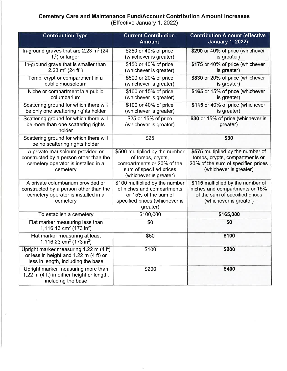# Cemetery Care and Maintenance Fund/Account Gontribution Amount lncreases

(Effective January 1, 2022)

| <b>Contribution Type</b>                                                                                                       | <b>Current Contribution</b><br><b>Amount</b>                                                                                           | <b>Contribution Amount (effective</b><br><b>January 1, 2022)</b>                                                                    |
|--------------------------------------------------------------------------------------------------------------------------------|----------------------------------------------------------------------------------------------------------------------------------------|-------------------------------------------------------------------------------------------------------------------------------------|
| In-ground graves that are 2.23 m <sup>2</sup> (24<br>$ft2$ ) or larger                                                         | \$250 or 40% of price<br>(whichever is greater)                                                                                        | \$290 or 40% of price (whichever<br>is greater)                                                                                     |
| In-ground grave that is smaller than<br>2.23 m <sup>2</sup> (24 ft <sup>2</sup> )                                              | \$150 or 40% of price<br>(whichever is greater)                                                                                        | \$175 or 40% of price (whichever<br>is greater)                                                                                     |
| Tomb, crypt or compartment in a<br>public mausoleum                                                                            | \$500 or 20% of price<br>(whichever is greater)                                                                                        | \$830 or 20% of price (whichever<br>is greater)                                                                                     |
| Niche or compartment in a public<br>columbarium                                                                                | \$100 or 15% of price<br>(whichever is greater)                                                                                        | \$165 or 15% of price (whichever<br>is greater)                                                                                     |
| Scattering ground for which there will<br>be only one scattering rights holder                                                 | \$100 or 40% of price<br>(whichever is greater)                                                                                        | \$115 or 40% of price (whichever<br>is greater)                                                                                     |
| Scattering ground for which there will<br>be more than one scattering rights<br>holder                                         | \$25 or 15% of price<br>(whichever is greater)                                                                                         | \$30 or 15% of price (whichever is<br>greater)                                                                                      |
| Scattering ground for which there will<br>be no scattering rights holder                                                       | \$25                                                                                                                                   | \$30                                                                                                                                |
| A private mausoleum provided or<br>constructed by a person other than the<br>cemetery operator is installed in a<br>cemetery   | \$500 multiplied by the number<br>of tombs, crypts,<br>compartments or 20% of the<br>sum of specified prices<br>(whichever is greater) | \$575 multiplied by the number of<br>tombs, crypts, compartments or<br>20% of the sum of specified prices<br>(whichever is greater) |
| A private columbarium provided or<br>constructed by a person other than the<br>cemetery operator is installed in a<br>cemetery | \$100 multiplied by the number<br>of niches and compartments<br>or 15% of the sum of<br>specified prices (whichever is<br>greater)     | \$115 multiplied by the number of<br>niches and compartments or 15%<br>of the sum of specified prices<br>(whichever is greater)     |
| To establish a cemetery                                                                                                        | \$100,000                                                                                                                              | \$165,000                                                                                                                           |
| Flat marker measuring less than<br>1,116.13 cm <sup>2</sup> (173 in <sup>2</sup> )                                             | \$0                                                                                                                                    | \$0                                                                                                                                 |
| Flat marker measuring at least<br>1,116.23 cm <sup>2</sup> (173 in <sup>2</sup> )                                              | \$50                                                                                                                                   | \$100                                                                                                                               |
| Upright marker measuring 1.22 m (4 ft)<br>or less in height and 1.22 m (4 ft) or<br>less in length, including the base         | \$100                                                                                                                                  | \$200                                                                                                                               |
| Upright marker measuring more than<br>1.22 m (4 ft) in either height or length,<br>including the base                          | \$200                                                                                                                                  | \$400                                                                                                                               |

 $\bar{\chi}$